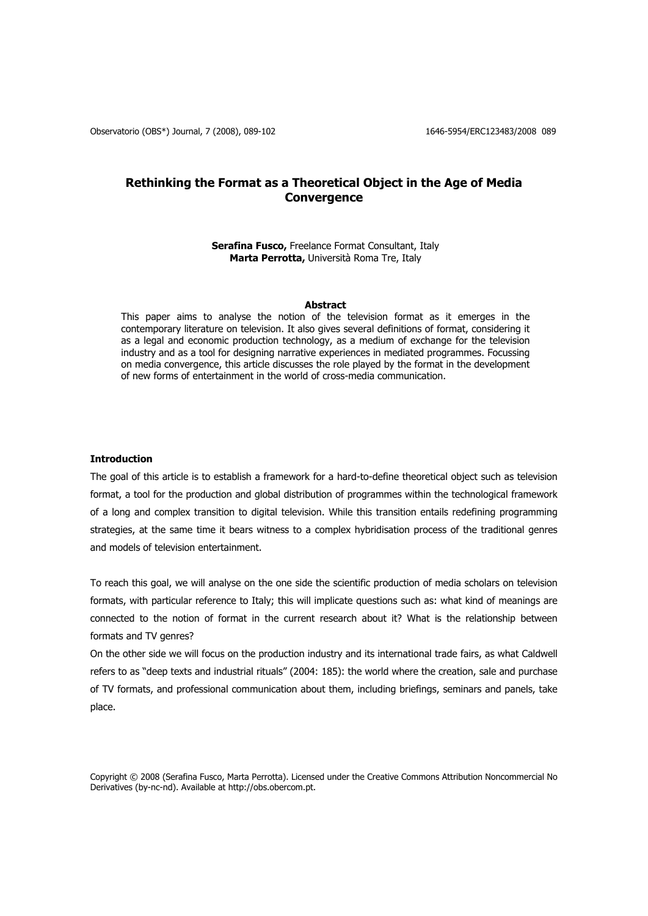# **Rethinking the Format as a Theoretical Object in the Age of Media Convergence**

## **Serafina Fusco,** Freelance Format Consultant, Italy **Marta Perrotta,** Università Roma Tre, Italy

# **Abstract**

This paper aims to analyse the notion of the television format as it emerges in the contemporary literature on television. It also gives several definitions of format, considering it as a legal and economic production technology, as a medium of exchange for the television industry and as a tool for designing narrative experiences in mediated programmes. Focussing on media convergence, this article discusses the role played by the format in the development of new forms of entertainment in the world of cross-media communication.

# **Introduction**

The goal of this article is to establish a framework for a hard-to-define theoretical object such as television format, a tool for the production and global distribution of programmes within the technological framework of a long and complex transition to digital television. While this transition entails redefining programming strategies, at the same time it bears witness to a complex hybridisation process of the traditional genres and models of television entertainment.

To reach this goal, we will analyse on the one side the scientific production of media scholars on television formats, with particular reference to Italy; this will implicate questions such as: what kind of meanings are connected to the notion of format in the current research about it? What is the relationship between formats and TV genres?

On the other side we will focus on the production industry and its international trade fairs, as what Caldwell refers to as "deep texts and industrial rituals" (2004: 185): the world where the creation, sale and purchase of TV formats, and professional communication about them, including briefings, seminars and panels, take place.

Copyright © 2008 (Serafina Fusco, Marta Perrotta). Licensed under the Creative Commons Attribution Noncommercial No Derivatives (by-nc-nd). Available at http://obs.obercom.pt.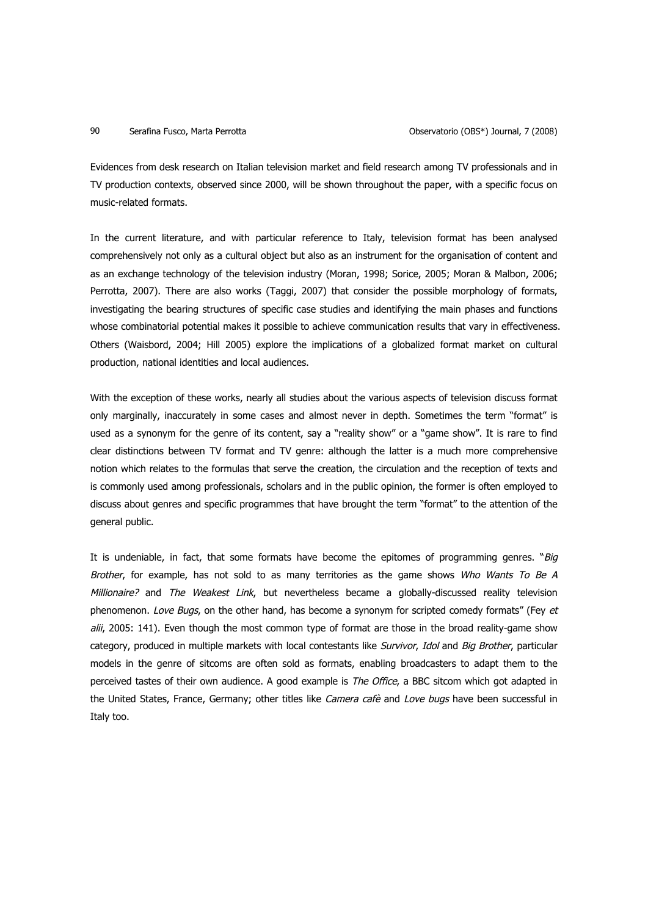Evidences from desk research on Italian television market and field research among TV professionals and in TV production contexts, observed since 2000, will be shown throughout the paper, with a specific focus on music-related formats.

In the current literature, and with particular reference to Italy, television format has been analysed comprehensively not only as a cultural object but also as an instrument for the organisation of content and as an exchange technology of the television industry (Moran, 1998; Sorice, 2005; Moran & Malbon, 2006; Perrotta, 2007). There are also works (Taggi, 2007) that consider the possible morphology of formats, investigating the bearing structures of specific case studies and identifying the main phases and functions whose combinatorial potential makes it possible to achieve communication results that vary in effectiveness. Others (Waisbord, 2004; Hill 2005) explore the implications of a globalized format market on cultural production, national identities and local audiences.

With the exception of these works, nearly all studies about the various aspects of television discuss format only marginally, inaccurately in some cases and almost never in depth. Sometimes the term "format" is used as a synonym for the genre of its content, say a "reality show" or a "game show". It is rare to find clear distinctions between TV format and TV genre: although the latter is a much more comprehensive notion which relates to the formulas that serve the creation, the circulation and the reception of texts and is commonly used among professionals, scholars and in the public opinion, the former is often employed to discuss about genres and specific programmes that have brought the term "format" to the attention of the general public.

It is undeniable, in fact, that some formats have become the epitomes of programming genres. "Big Brother, for example, has not sold to as many territories as the game shows Who Wants To Be A Millionaire? and The Weakest Link, but nevertheless became a globally-discussed reality television phenomenon. Love Bugs, on the other hand, has become a synonym for scripted comedy formats" (Fey et alii, 2005: 141). Even though the most common type of format are those in the broad reality-game show category, produced in multiple markets with local contestants like Survivor, Idol and Big Brother, particular models in the genre of sitcoms are often sold as formats, enabling broadcasters to adapt them to the perceived tastes of their own audience. A good example is The Office, a BBC sitcom which got adapted in the United States, France, Germany; other titles like Camera cafè and Love bugs have been successful in Italy too.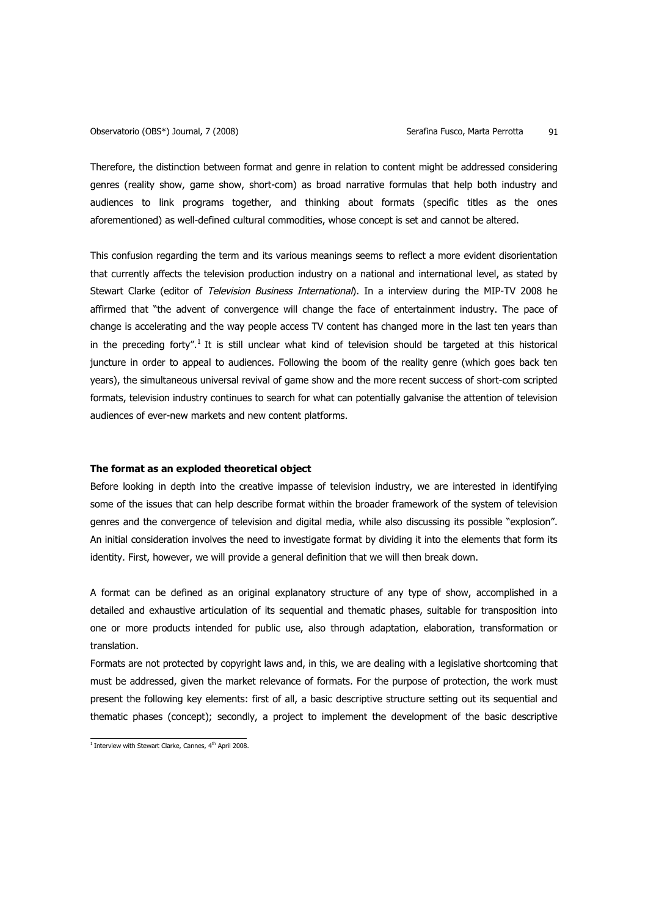Therefore, the distinction between format and genre in relation to content might be addressed considering genres (reality show, game show, short-com) as broad narrative formulas that help both industry and audiences to link programs together, and thinking about formats (specific titles as the ones aforementioned) as well-defined cultural commodities, whose concept is set and cannot be altered.

This confusion regarding the term and its various meanings seems to reflect a more evident disorientation that currently affects the television production industry on a national and international level, as stated by Stewart Clarke (editor of Television Business International). In a interview during the MIP-TV 2008 he affirmed that "the advent of convergence will change the face of entertainment industry. The pace of change is accelerating and the way people access TV content has changed more in the last ten years than in the preceding forty".<sup>1</sup> It is still unclear what kind of television should be targeted at this historical juncture in order to appeal to audiences. Following the boom of the reality genre (which goes back ten years), the simultaneous universal revival of game show and the more recent success of short-com scripted formats, television industry continues to search for what can potentially galvanise the attention of television audiences of ever-new markets and new content platforms.

# **The format as an exploded theoretical object**

Before looking in depth into the creative impasse of television industry, we are interested in identifying some of the issues that can help describe format within the broader framework of the system of television genres and the convergence of television and digital media, while also discussing its possible "explosion". An initial consideration involves the need to investigate format by dividing it into the elements that form its identity. First, however, we will provide a general definition that we will then break down.

A format can be defined as an original explanatory structure of any type of show, accomplished in a detailed and exhaustive articulation of its sequential and thematic phases, suitable for transposition into one or more products intended for public use, also through adaptation, elaboration, transformation or translation.

Formats are not protected by copyright laws and, in this, we are dealing with a legislative shortcoming that must be addressed, given the market relevance of formats. For the purpose of protection, the work must present the following key elements: first of all, a basic descriptive structure setting out its sequential and thematic phases (concept); secondly, a project to implement the development of the basic descriptive

 $1$  Interview with Stewart Clarke, Cannes,  $4<sup>th</sup>$  April 2008.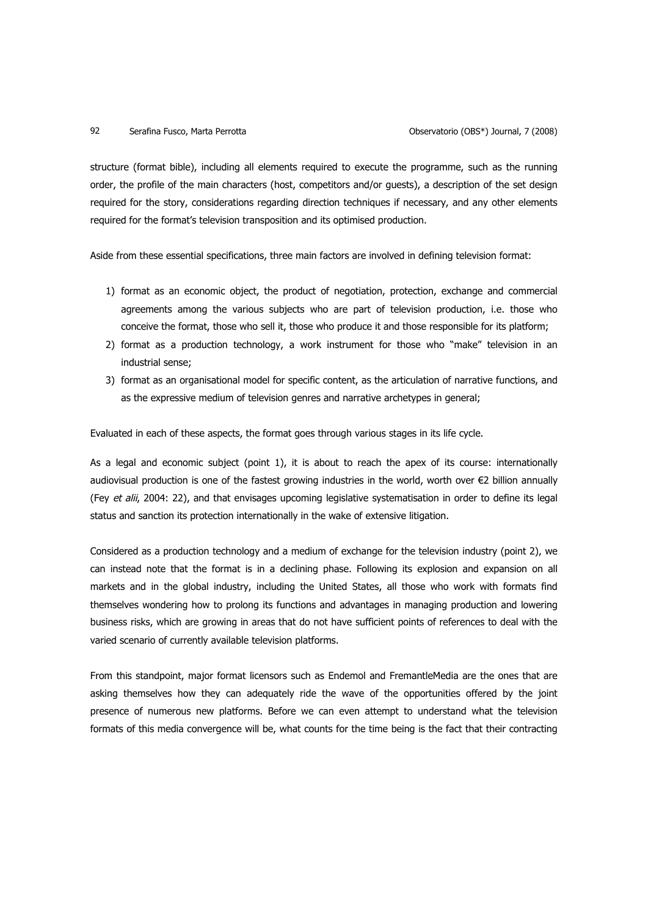structure (format bible), including all elements required to execute the programme, such as the running order, the profile of the main characters (host, competitors and/or guests), a description of the set design required for the story, considerations regarding direction techniques if necessary, and any other elements required for the format's television transposition and its optimised production.

Aside from these essential specifications, three main factors are involved in defining television format:

- 1) format as an economic object, the product of negotiation, protection, exchange and commercial agreements among the various subjects who are part of television production, i.e. those who conceive the format, those who sell it, those who produce it and those responsible for its platform;
- 2) format as a production technology, a work instrument for those who "make" television in an industrial sense;
- 3) format as an organisational model for specific content, as the articulation of narrative functions, and as the expressive medium of television genres and narrative archetypes in general;

Evaluated in each of these aspects, the format goes through various stages in its life cycle.

As a legal and economic subject (point 1), it is about to reach the apex of its course: internationally audiovisual production is one of the fastest growing industries in the world, worth over €2 billion annually (Fey et alii, 2004: 22), and that envisages upcoming legislative systematisation in order to define its legal status and sanction its protection internationally in the wake of extensive litigation.

Considered as a production technology and a medium of exchange for the television industry (point 2), we can instead note that the format is in a declining phase. Following its explosion and expansion on all markets and in the global industry, including the United States, all those who work with formats find themselves wondering how to prolong its functions and advantages in managing production and lowering business risks, which are growing in areas that do not have sufficient points of references to deal with the varied scenario of currently available television platforms.

From this standpoint, major format licensors such as Endemol and FremantleMedia are the ones that are asking themselves how they can adequately ride the wave of the opportunities offered by the joint presence of numerous new platforms. Before we can even attempt to understand what the television formats of this media convergence will be, what counts for the time being is the fact that their contracting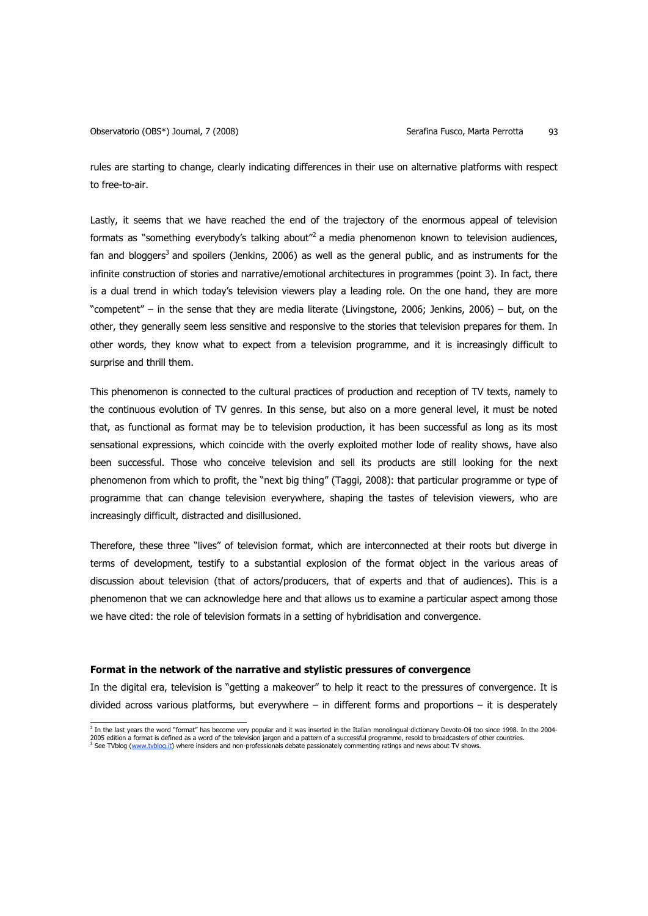rules are starting to change, clearly indicating differences in their use on alternative platforms with respect to free-to-air.

Lastly, it seems that we have reached the end of the trajectory of the enormous appeal of television formats as "something everybody's talking about"<sup>2</sup> a media phenomenon known to television audiences, fan and bloggers<sup>3</sup> and spoilers (Jenkins, 2006) as well as the general public, and as instruments for the infinite construction of stories and narrative/emotional architectures in programmes (point 3). In fact, there is a dual trend in which today's television viewers play a leading role. On the one hand, they are more "competent" – in the sense that they are media literate (Livingstone, 2006; Jenkins, 2006) – but, on the other, they generally seem less sensitive and responsive to the stories that television prepares for them. In other words, they know what to expect from a television programme, and it is increasingly difficult to surprise and thrill them.

This phenomenon is connected to the cultural practices of production and reception of TV texts, namely to the continuous evolution of TV genres. In this sense, but also on a more general level, it must be noted that, as functional as format may be to television production, it has been successful as long as its most sensational expressions, which coincide with the overly exploited mother lode of reality shows, have also been successful. Those who conceive television and sell its products are still looking for the next phenomenon from which to profit, the "next big thing" (Taggi, 2008): that particular programme or type of programme that can change television everywhere, shaping the tastes of television viewers, who are increasingly difficult, distracted and disillusioned.

Therefore, these three "lives" of television format, which are interconnected at their roots but diverge in terms of development, testify to a substantial explosion of the format object in the various areas of discussion about television (that of actors/producers, that of experts and that of audiences). This is a phenomenon that we can acknowledge here and that allows us to examine a particular aspect among those we have cited: the role of television formats in a setting of hybridisation and convergence.

## **Format in the network of the narrative and stylistic pressures of convergence**

In the digital era, television is "getting a makeover" to help it react to the pressures of convergence. It is divided across various platforms, but everywhere – in different forms and proportions – it is desperately

<sup>&</sup>lt;sup>2</sup> In the last years the word "format" has become very popular and it was inserted in the Italian monolingual dictionary Devoto-Oli too since 1998. In the 2004-2005 edition a format is defined as a word of the television jargon and a pattern of a successful programme, resold to broadcasters of other countries.<br><sup>3</sup> See TVblog (<u>www.tyblog.it)</u> where insiders and non-professionals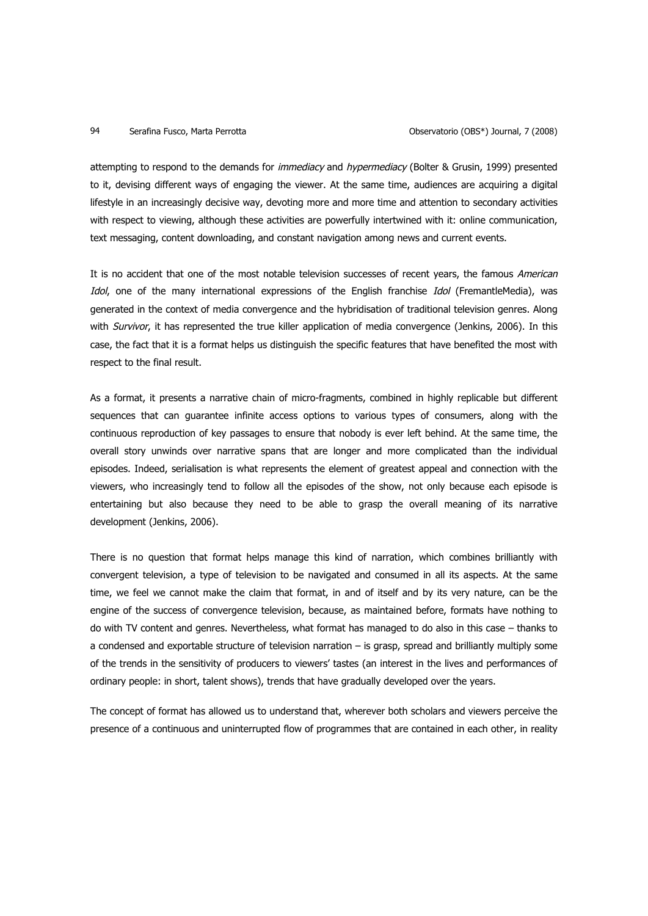attempting to respond to the demands for *immediacy* and *hypermediacy* (Bolter & Grusin, 1999) presented to it, devising different ways of engaging the viewer. At the same time, audiences are acquiring a digital lifestyle in an increasingly decisive way, devoting more and more time and attention to secondary activities with respect to viewing, although these activities are powerfully intertwined with it: online communication, text messaging, content downloading, and constant navigation among news and current events.

It is no accident that one of the most notable television successes of recent years, the famous American Idol, one of the many international expressions of the English franchise Idol (FremantleMedia), was generated in the context of media convergence and the hybridisation of traditional television genres. Along with Survivor, it has represented the true killer application of media convergence (Jenkins, 2006). In this case, the fact that it is a format helps us distinguish the specific features that have benefited the most with respect to the final result.

As a format, it presents a narrative chain of micro-fragments, combined in highly replicable but different sequences that can guarantee infinite access options to various types of consumers, along with the continuous reproduction of key passages to ensure that nobody is ever left behind. At the same time, the overall story unwinds over narrative spans that are longer and more complicated than the individual episodes. Indeed, serialisation is what represents the element of greatest appeal and connection with the viewers, who increasingly tend to follow all the episodes of the show, not only because each episode is entertaining but also because they need to be able to grasp the overall meaning of its narrative development (Jenkins, 2006).

There is no question that format helps manage this kind of narration, which combines brilliantly with convergent television, a type of television to be navigated and consumed in all its aspects. At the same time, we feel we cannot make the claim that format, in and of itself and by its very nature, can be the engine of the success of convergence television, because, as maintained before, formats have nothing to do with TV content and genres. Nevertheless, what format has managed to do also in this case – thanks to a condensed and exportable structure of television narration – is grasp, spread and brilliantly multiply some of the trends in the sensitivity of producers to viewers' tastes (an interest in the lives and performances of ordinary people: in short, talent shows), trends that have gradually developed over the years.

The concept of format has allowed us to understand that, wherever both scholars and viewers perceive the presence of a continuous and uninterrupted flow of programmes that are contained in each other, in reality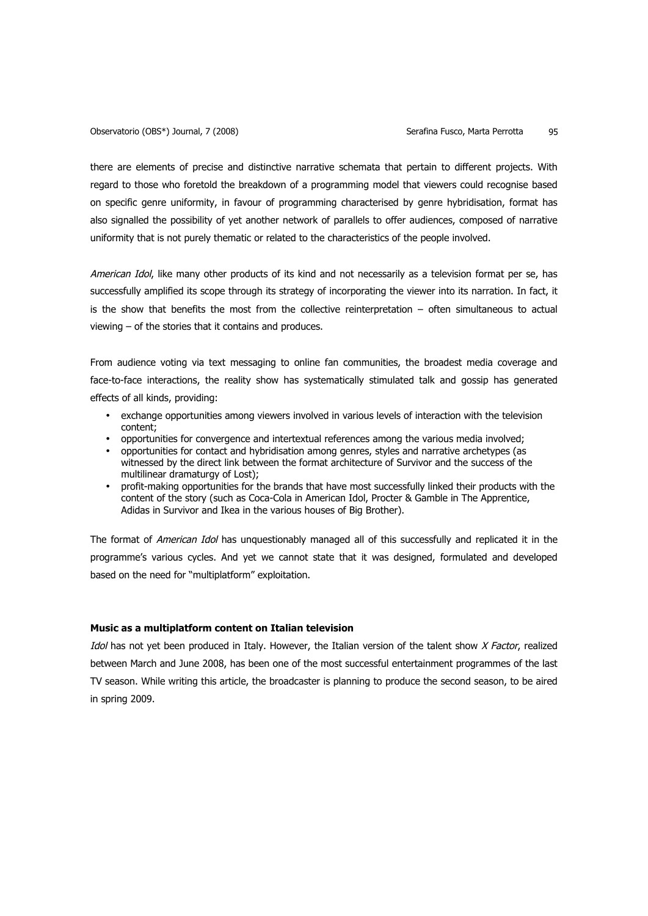there are elements of precise and distinctive narrative schemata that pertain to different projects. With regard to those who foretold the breakdown of a programming model that viewers could recognise based on specific genre uniformity, in favour of programming characterised by genre hybridisation, format has also signalled the possibility of yet another network of parallels to offer audiences, composed of narrative uniformity that is not purely thematic or related to the characteristics of the people involved.

American Idol, like many other products of its kind and not necessarily as a television format per se, has successfully amplified its scope through its strategy of incorporating the viewer into its narration. In fact, it is the show that benefits the most from the collective reinterpretation – often simultaneous to actual viewing – of the stories that it contains and produces.

From audience voting via text messaging to online fan communities, the broadest media coverage and face-to-face interactions, the reality show has systematically stimulated talk and gossip has generated effects of all kinds, providing:

- exchange opportunities among viewers involved in various levels of interaction with the television content;
- opportunities for convergence and intertextual references among the various media involved;
- opportunities for contact and hybridisation among genres, styles and narrative archetypes (as witnessed by the direct link between the format architecture of Survivor and the success of the multilinear dramaturgy of Lost);
- profit-making opportunities for the brands that have most successfully linked their products with the content of the story (such as Coca-Cola in American Idol, Procter & Gamble in The Apprentice, Adidas in Survivor and Ikea in the various houses of Big Brother).

The format of American Idol has unquestionably managed all of this successfully and replicated it in the programme's various cycles. And yet we cannot state that it was designed, formulated and developed based on the need for "multiplatform" exploitation.

## **Music as a multiplatform content on Italian television**

Idol has not yet been produced in Italy. However, the Italian version of the talent show X Factor, realized between March and June 2008, has been one of the most successful entertainment programmes of the last TV season. While writing this article, the broadcaster is planning to produce the second season, to be aired in spring 2009.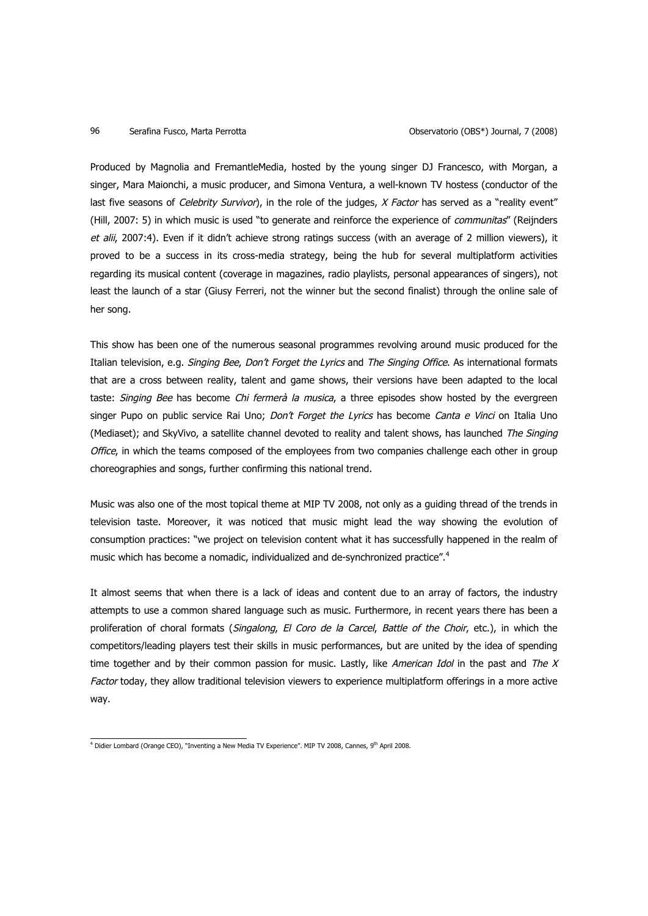Produced by Magnolia and FremantleMedia, hosted by the young singer DJ Francesco, with Morgan, a singer, Mara Maionchi, a music producer, and Simona Ventura, a well-known TV hostess (conductor of the last five seasons of Celebrity Survivor), in the role of the judges,  $X$  Factor has served as a "reality event" (Hill, 2007: 5) in which music is used "to generate and reinforce the experience of communitas" (Reijnders et alii, 2007:4). Even if it didn't achieve strong ratings success (with an average of 2 million viewers), it proved to be a success in its cross-media strategy, being the hub for several multiplatform activities regarding its musical content (coverage in magazines, radio playlists, personal appearances of singers), not least the launch of a star (Giusy Ferreri, not the winner but the second finalist) through the online sale of her song.

This show has been one of the numerous seasonal programmes revolving around music produced for the Italian television, e.g. Singing Bee, Don't Forget the Lyrics and The Singing Office. As international formats that are a cross between reality, talent and game shows, their versions have been adapted to the local taste: Singing Bee has become Chi fermerà la musica, a three episodes show hosted by the evergreen singer Pupo on public service Rai Uno; Don't Forget the Lyrics has become Canta e Vinci on Italia Uno (Mediaset); and SkyVivo, a satellite channel devoted to reality and talent shows, has launched The Singing Office, in which the teams composed of the employees from two companies challenge each other in group choreographies and songs, further confirming this national trend.

Music was also one of the most topical theme at MIP TV 2008, not only as a guiding thread of the trends in television taste. Moreover, it was noticed that music might lead the way showing the evolution of consumption practices: "we project on television content what it has successfully happened in the realm of music which has become a nomadic, individualized and de-synchronized practice".<sup>4</sup>

It almost seems that when there is a lack of ideas and content due to an array of factors, the industry attempts to use a common shared language such as music. Furthermore, in recent years there has been a proliferation of choral formats (Singalong, El Coro de la Carcel, Battle of the Choir, etc.), in which the competitors/leading players test their skills in music performances, but are united by the idea of spending time together and by their common passion for music. Lastly, like American Idol in the past and The  $X$ Factor today, they allow traditional television viewers to experience multiplatform offerings in a more active way.

<sup>&</sup>lt;sup>4</sup> Didier Lombard (Orange CEO), "Inventing a New Media TV Experience". MIP TV 2008, Cannes, 9<sup>th</sup> April 2008.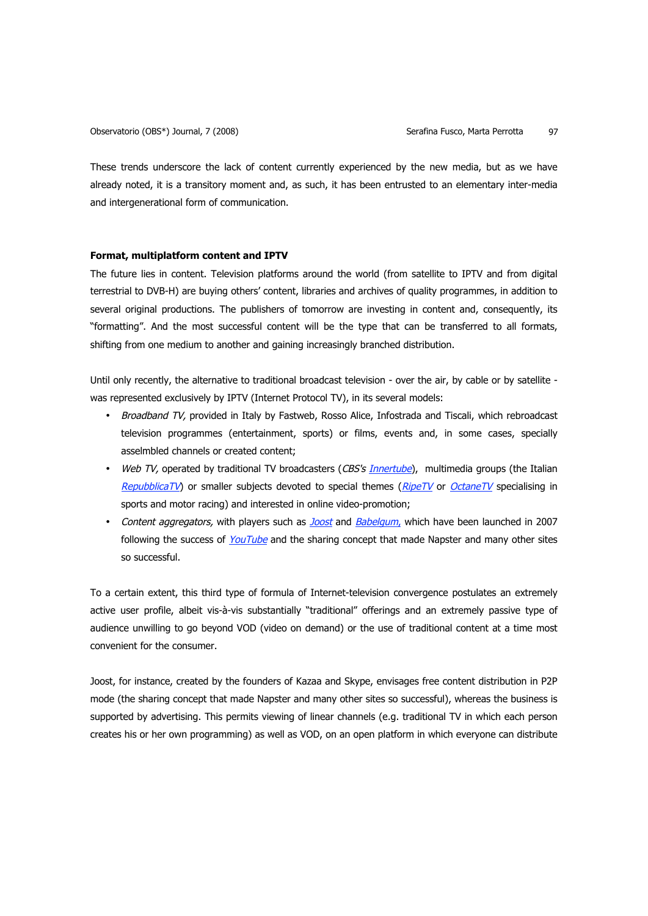These trends underscore the lack of content currently experienced by the new media, but as we have already noted, it is a transitory moment and, as such, it has been entrusted to an elementary inter-media and intergenerational form of communication.

# **Format, multiplatform content and IPTV**

The future lies in content. Television platforms around the world (from satellite to IPTV and from digital terrestrial to DVB-H) are buying others' content, libraries and archives of quality programmes, in addition to several original productions. The publishers of tomorrow are investing in content and, consequently, its "formatting". And the most successful content will be the type that can be transferred to all formats, shifting from one medium to another and gaining increasingly branched distribution.

Until only recently, the alternative to traditional broadcast television - over the air, by cable or by satellite was represented exclusively by IPTV (Internet Protocol TV), in its several models:

- Broadband TV, provided in Italy by Fastweb, Rosso Alice, Infostrada and Tiscali, which rebroadcast television programmes (entertainment, sports) or films, events and, in some cases, specially asselmbled channels or created content;
- Web TV, operated by traditional TV broadcasters (CBS's *Innertube*), multimedia groups (the Italian RepubblicaTV) or smaller subjects devoted to special themes ( $RipeTV$  or OctaneTV specialising in sports and motor racing) and interested in online video-promotion;
- Content aggregators, with players such as *Joost* and Babelgum, which have been launched in 2007 following the success of YouTube and the sharing concept that made Napster and many other sites so successful.

To a certain extent, this third type of formula of Internet-television convergence postulates an extremely active user profile, albeit vis-à-vis substantially "traditional" offerings and an extremely passive type of audience unwilling to go beyond VOD (video on demand) or the use of traditional content at a time most convenient for the consumer.

Joost, for instance, created by the founders of Kazaa and Skype, envisages free content distribution in P2P mode (the sharing concept that made Napster and many other sites so successful), whereas the business is supported by advertising. This permits viewing of linear channels (e.g. traditional TV in which each person creates his or her own programming) as well as VOD, on an open platform in which everyone can distribute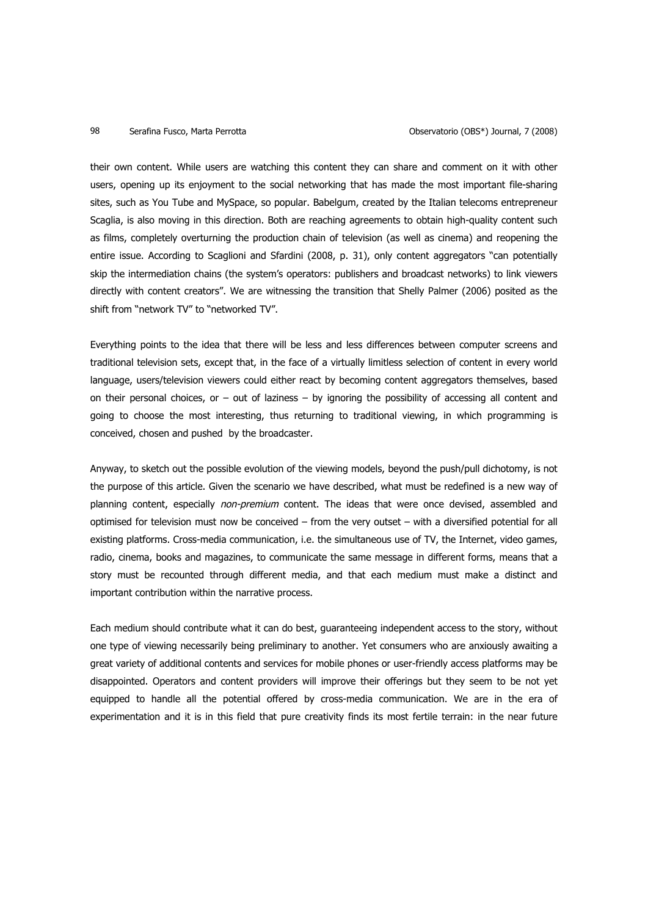their own content. While users are watching this content they can share and comment on it with other users, opening up its enjoyment to the social networking that has made the most important file-sharing sites, such as You Tube and MySpace, so popular. Babelgum, created by the Italian telecoms entrepreneur Scaglia, is also moving in this direction. Both are reaching agreements to obtain high-quality content such as films, completely overturning the production chain of television (as well as cinema) and reopening the entire issue. According to Scaglioni and Sfardini (2008, p. 31), only content aggregators "can potentially skip the intermediation chains (the system's operators: publishers and broadcast networks) to link viewers directly with content creators". We are witnessing the transition that Shelly Palmer (2006) posited as the shift from "network TV" to "networked TV".

Everything points to the idea that there will be less and less differences between computer screens and traditional television sets, except that, in the face of a virtually limitless selection of content in every world language, users/television viewers could either react by becoming content aggregators themselves, based on their personal choices, or – out of laziness – by ignoring the possibility of accessing all content and going to choose the most interesting, thus returning to traditional viewing, in which programming is conceived, chosen and pushed by the broadcaster.

Anyway, to sketch out the possible evolution of the viewing models, beyond the push/pull dichotomy, is not the purpose of this article. Given the scenario we have described, what must be redefined is a new way of planning content, especially non-premium content. The ideas that were once devised, assembled and optimised for television must now be conceived – from the very outset – with a diversified potential for all existing platforms. Cross-media communication, i.e. the simultaneous use of TV, the Internet, video games, radio, cinema, books and magazines, to communicate the same message in different forms, means that a story must be recounted through different media, and that each medium must make a distinct and important contribution within the narrative process.

Each medium should contribute what it can do best, guaranteeing independent access to the story, without one type of viewing necessarily being preliminary to another. Yet consumers who are anxiously awaiting a great variety of additional contents and services for mobile phones or user-friendly access platforms may be disappointed. Operators and content providers will improve their offerings but they seem to be not yet equipped to handle all the potential offered by cross-media communication. We are in the era of experimentation and it is in this field that pure creativity finds its most fertile terrain: in the near future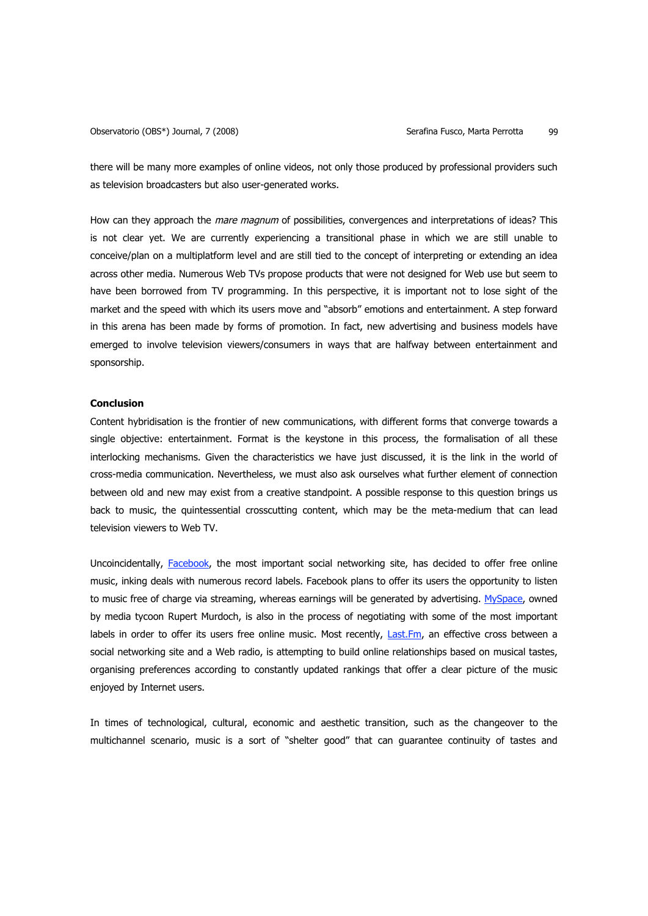there will be many more examples of online videos, not only those produced by professional providers such as television broadcasters but also user-generated works.

How can they approach the mare magnum of possibilities, convergences and interpretations of ideas? This is not clear yet. We are currently experiencing a transitional phase in which we are still unable to conceive/plan on a multiplatform level and are still tied to the concept of interpreting or extending an idea across other media. Numerous Web TVs propose products that were not designed for Web use but seem to have been borrowed from TV programming. In this perspective, it is important not to lose sight of the market and the speed with which its users move and "absorb" emotions and entertainment. A step forward in this arena has been made by forms of promotion. In fact, new advertising and business models have emerged to involve television viewers/consumers in ways that are halfway between entertainment and sponsorship.

# **Conclusion**

Content hybridisation is the frontier of new communications, with different forms that converge towards a single objective: entertainment. Format is the keystone in this process, the formalisation of all these interlocking mechanisms. Given the characteristics we have just discussed, it is the link in the world of cross-media communication. Nevertheless, we must also ask ourselves what further element of connection between old and new may exist from a creative standpoint. A possible response to this question brings us back to music, the quintessential crosscutting content, which may be the meta-medium that can lead television viewers to Web TV.

Uncoincidentally, Facebook, the most important social networking site, has decided to offer free online music, inking deals with numerous record labels. Facebook plans to offer its users the opportunity to listen to music free of charge via streaming, whereas earnings will be generated by advertising. MySpace, owned by media tycoon Rupert Murdoch, is also in the process of negotiating with some of the most important labels in order to offer its users free online music. Most recently, Last.Fm, an effective cross between a social networking site and a Web radio, is attempting to build online relationships based on musical tastes, organising preferences according to constantly updated rankings that offer a clear picture of the music enjoyed by Internet users.

In times of technological, cultural, economic and aesthetic transition, such as the changeover to the multichannel scenario, music is a sort of "shelter good" that can guarantee continuity of tastes and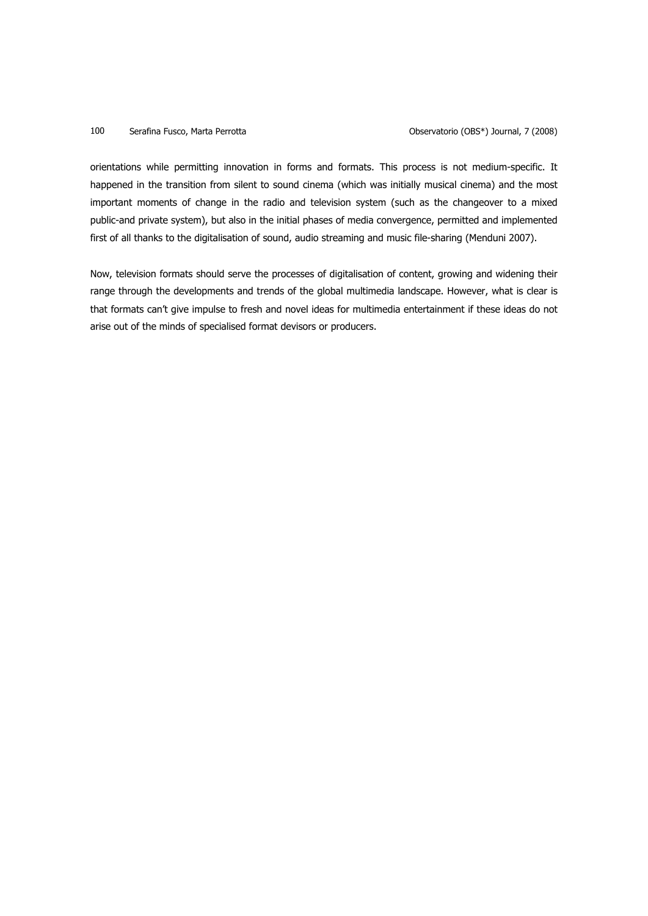orientations while permitting innovation in forms and formats. This process is not medium-specific. It happened in the transition from silent to sound cinema (which was initially musical cinema) and the most important moments of change in the radio and television system (such as the changeover to a mixed public-and private system), but also in the initial phases of media convergence, permitted and implemented first of all thanks to the digitalisation of sound, audio streaming and music file-sharing (Menduni 2007).

Now, television formats should serve the processes of digitalisation of content, growing and widening their range through the developments and trends of the global multimedia landscape. However, what is clear is that formats can't give impulse to fresh and novel ideas for multimedia entertainment if these ideas do not arise out of the minds of specialised format devisors or producers.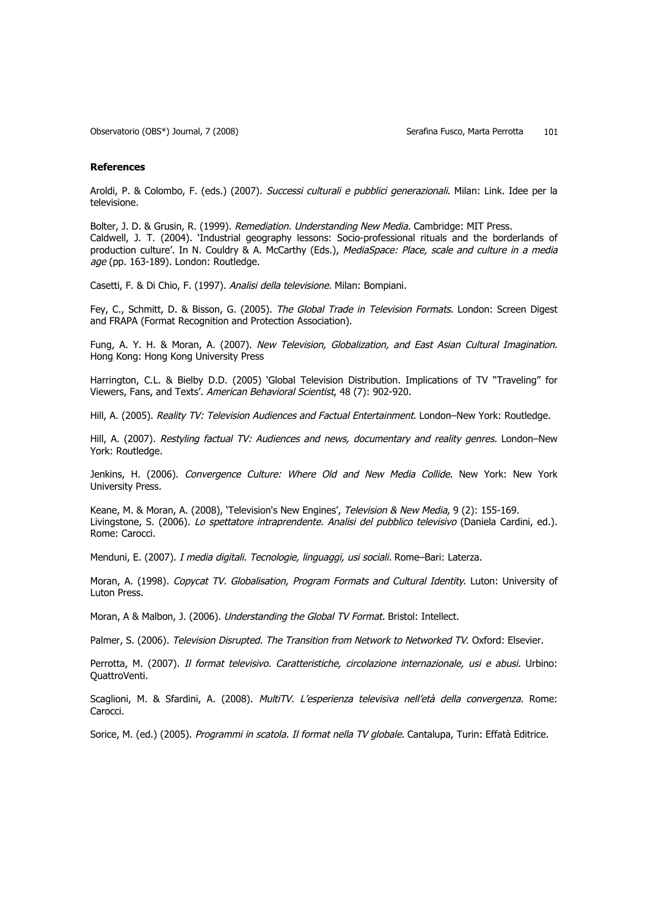Observatorio (OBS\*) Journal, 7 (2008) Serafina Fusco, Marta Perrotta 101

#### **References**

Aroldi, P. & Colombo, F. (eds.) (2007). Successi culturali e pubblici generazionali. Milan: Link. Idee per la televisione.

Bolter, J. D. & Grusin, R. (1999). Remediation. Understanding New Media. Cambridge: MIT Press. Caldwell, J. T. (2004). 'Industrial geography lessons: Socio-professional rituals and the borderlands of production culture'. In N. Couldry & A. McCarthy (Eds.), MediaSpace: Place, scale and culture in a media age (pp. 163-189). London: Routledge.

Casetti, F. & Di Chio, F. (1997). Analisi della televisione. Milan: Bompiani.

Fey, C., Schmitt, D. & Bisson, G. (2005). The Global Trade in Television Formats. London: Screen Digest and FRAPA (Format Recognition and Protection Association).

Fung, A. Y. H. & Moran, A. (2007). New Television, Globalization, and East Asian Cultural Imagination. Hong Kong: Hong Kong University Press

Harrington, C.L. & Bielby D.D. (2005) 'Global Television Distribution. Implications of TV "Traveling" for Viewers, Fans, and Texts'. American Behavioral Scientist, 48 (7): 902-920.

Hill, A. (2005). Reality TV: Television Audiences and Factual Entertainment. London–New York: Routledge.

Hill, A. (2007). Restyling factual TV: Audiences and news, documentary and reality genres. London–New York: Routledge.

Jenkins, H. (2006). Convergence Culture: Where Old and New Media Collide. New York: New York University Press.

Keane, M. & Moran, A. (2008), 'Television's New Engines', Television & New Media, 9 (2): 155-169. Livingstone, S. (2006). Lo spettatore intraprendente. Analisi del pubblico televisivo (Daniela Cardini, ed.). Rome: Carocci.

Menduni, E. (2007). I media digitali. Tecnologie, linguaggi, usi sociali. Rome–Bari: Laterza.

Moran, A. (1998). Copycat TV. Globalisation, Program Formats and Cultural Identity. Luton: University of Luton Press.

Moran, A & Malbon, J. (2006). Understanding the Global TV Format. Bristol: Intellect.

Palmer, S. (2006). Television Disrupted. The Transition from Network to Networked TV. Oxford: Elsevier.

Perrotta, M. (2007). Il format televisivo. Caratteristiche, circolazione internazionale, usi e abusi. Urbino: QuattroVenti.

Scaglioni, M. & Sfardini, A. (2008). MultiTV. L'esperienza televisiva nell'età della convergenza. Rome: Carocci.

Sorice, M. (ed.) (2005). Programmi in scatola. Il format nella TV globale. Cantalupa, Turin: Effatà Editrice.